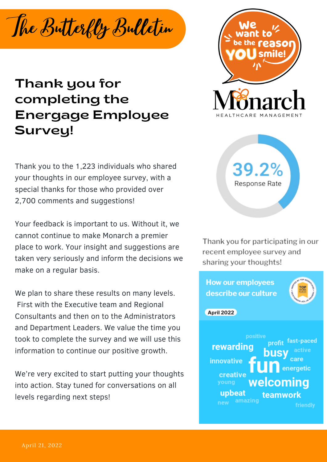The Butterfly Bulletin

## Thank you for completing the Energage Employee Survey!

Thank you to the 1,223 individuals who shared your thoughts in our employee survey, with a special thanks for those who provided over 2,700 comments and suggestions!

Your feedback is important to us. Without it, we cannot continue to make Monarch a premier place to work. Your insight and suggestions are taken very seriously and inform the decisions we make on a regular basis.

We plan to share these results on many levels. First with the Executive team and Regional Consultants and then on to the Administrators and Department Leaders. We value the time you took to complete the survey and we will use this information to continue our positive growth.

We're very excited to start putting your thoughts into action. Stay tuned for conversations on all levels regarding next steps!





Thank you for participating in our recent employee survey and sharing your thoughts!

**How our employees** describe our culture **April 2022** positive fast-paced rewarding innovative energetic creative welcoming young upbeat teamwork